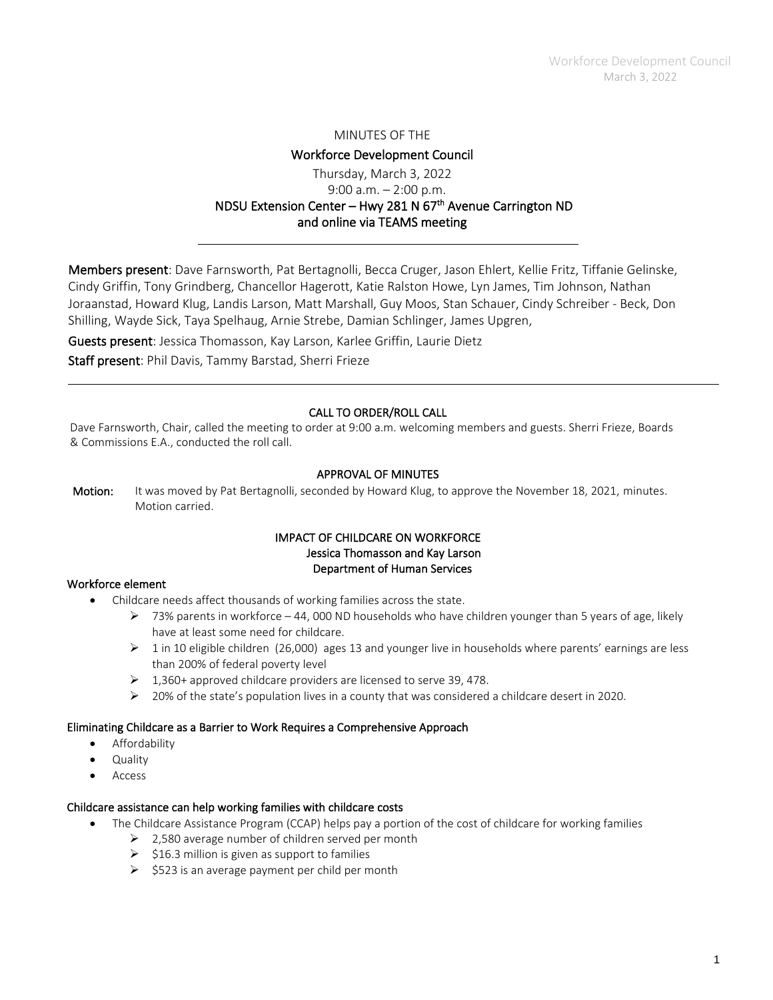#### MINUTES OF THE

### Workforce Development Council

# Thursday, March 3, 2022 9:00 a.m.  $-2:00$  p.m. NDSU Extension Center – Hwy 281 N 67<sup>th</sup> Avenue Carrington ND and online via TEAMS meeting

Members present: Dave Farnsworth, Pat Bertagnolli, Becca Cruger, Jason Ehlert, Kellie Fritz, Tiffanie Gelinske, Cindy Griffin, Tony Grindberg, Chancellor Hagerott, Katie Ralston Howe, Lyn James, Tim Johnson, Nathan Joraanstad, Howard Klug, Landis Larson, Matt Marshall, Guy Moos, Stan Schauer, Cindy Schreiber - Beck, Don Shilling, Wayde Sick, Taya Spelhaug, Arnie Strebe, Damian Schlinger, James Upgren,

Guests present: Jessica Thomasson, Kay Larson, Karlee Griffin, Laurie Dietz

Staff present: Phil Davis, Tammy Barstad, Sherri Frieze

### CALL TO ORDER/ROLL CALL

Dave Farnsworth, Chair, called the meeting to order at 9:00 a.m. welcoming members and guests. Sherri Frieze, Boards & Commissions E.A., conducted the roll call.

#### APPROVAL OF MINUTES

Motion: It was moved by Pat Bertagnolli, seconded by Howard Klug, to approve the November 18, 2021, minutes. Motion carried.

#### IMPACT OF CHILDCARE ON WORKFORCE Jessica Thomasson and Kay Larson Department of Human Services

#### Workforce element

- Childcare needs affect thousands of working families across the state.
	- $\triangleright$  73% parents in workforce 44, 000 ND households who have children younger than 5 years of age, likely have at least some need for childcare.
	- $\geq 1$  in 10 eligible children (26,000) ages 13 and younger live in households where parents' earnings are less than 200% of federal poverty level
	- $\geq$  1,360+ approved childcare providers are licensed to serve 39, 478.
	- $\triangleright$  20% of the state's population lives in a county that was considered a childcare desert in 2020.

#### Eliminating Childcare as a Barrier to Work Requires a Comprehensive Approach

- Affordability
- Quality
- **Access**

#### Childcare assistance can help working families with childcare costs

- The Childcare Assistance Program (CCAP) helps pay a portion of the cost of childcare for working families
	- $\geq$  2,580 average number of children served per month
	- $\geq$  \$16.3 million is given as support to families
	- $\geq$  \$523 is an average payment per child per month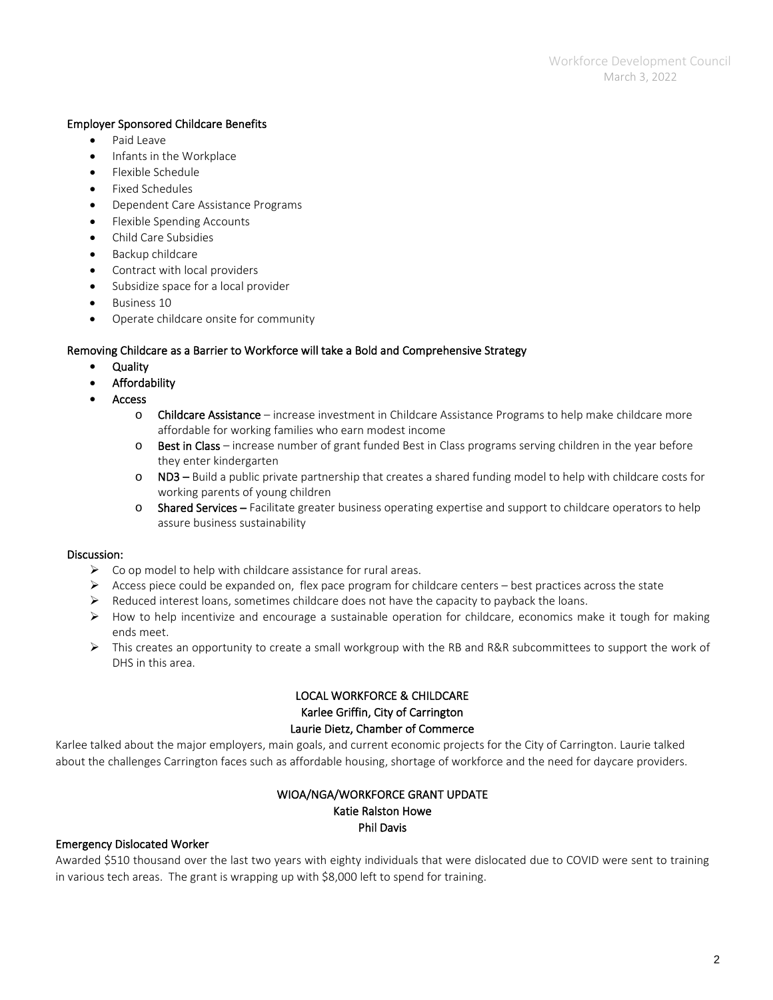### Employer Sponsored Childcare Benefits

- Paid Leave
- Infants in the Workplace
- Flexible Schedule
- Fixed Schedules
- Dependent Care Assistance Programs
- Flexible Spending Accounts
- Child Care Subsidies
- Backup childcare
- Contract with local providers
- Subsidize space for a local provider
- Business 10
- Operate childcare onsite for community

### Removing Childcare as a Barrier to Workforce will take a Bold and Comprehensive Strategy

- **Quality**
- **Affordability**
- Access
	- o Childcare Assistance increase investment in Childcare Assistance Programs to help make childcare more affordable for working families who earn modest income
	- $\circ$  Best in Class increase number of grant funded Best in Class programs serving children in the year before they enter kindergarten
	- o ND3 Build a public private partnership that creates a shared funding model to help with childcare costs for working parents of young children
	- o Shared Services Facilitate greater business operating expertise and support to childcare operators to help assure business sustainability

#### Discussion:

- $\triangleright$  Co op model to help with childcare assistance for rural areas.
- $\triangleright$  Access piece could be expanded on, flex pace program for childcare centers best practices across the state
- $\triangleright$  Reduced interest loans, sometimes childcare does not have the capacity to payback the loans.
- $\triangleright$  How to help incentivize and encourage a sustainable operation for childcare, economics make it tough for making ends meet.
- $\triangleright$  This creates an opportunity to create a small workgroup with the RB and R&R subcommittees to support the work of DHS in this area.

## LOCAL WORKFORCE & CHILDCARE Karlee Griffin, City of Carrington Laurie Dietz, Chamber of Commerce

Karlee talked about the major employers, main goals, and current economic projects for the City of Carrington. Laurie talked about the challenges Carrington faces such as affordable housing, shortage of workforce and the need for daycare providers.

### WIOA/NGA/WORKFORCE GRANT UPDATE Katie Ralston Howe Phil Davis

#### Emergency Dislocated Worker

Awarded \$510 thousand over the last two years with eighty individuals that were dislocated due to COVID were sent to training in various tech areas. The grant is wrapping up with \$8,000 left to spend for training.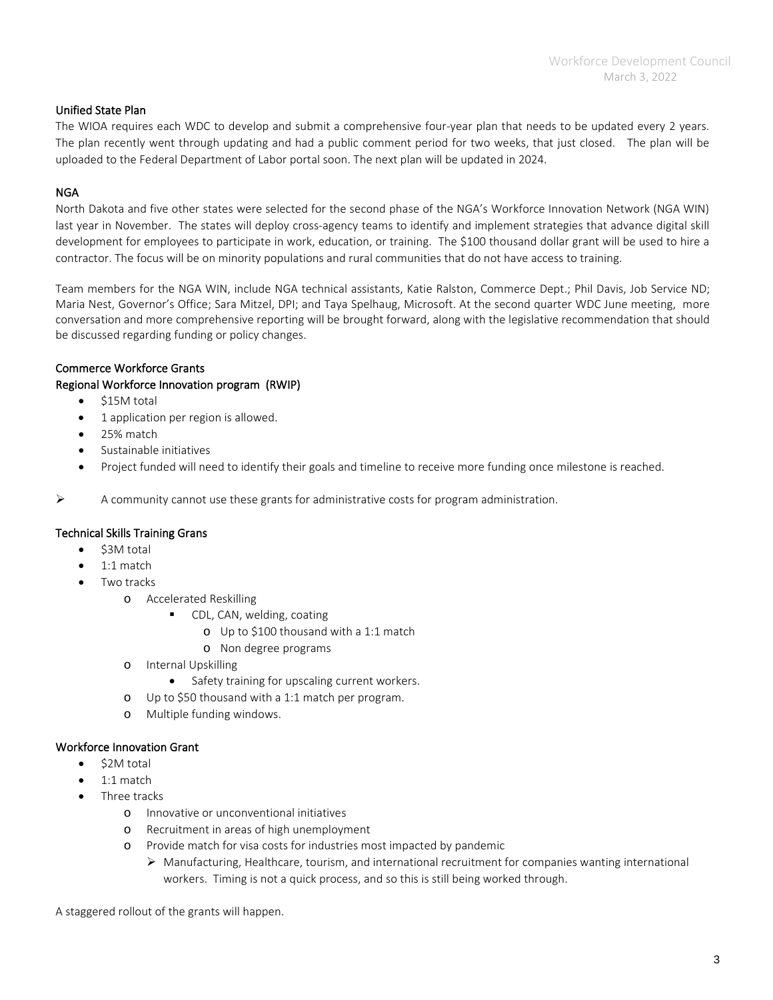### Unified State Plan

The WIOA requires each WDC to develop and submit a comprehensive four-year plan that needs to be updated every 2 years. The plan recently went through updating and had a public comment period for two weeks, that just closed. The plan will be uploaded to the Federal Department of Labor portal soon. The next plan will be updated in 2024.

### NGA

North Dakota and five other states were selected for the second phase of the NGA's Workforce Innovation Network (NGA WIN) last year in November. The states will deploy cross-agency teams to identify and implement strategies that advance digital skill development for employees to participate in work, education, or training. The \$100 thousand dollar grant will be used to hire a contractor. The focus will be on minority populations and rural communities that do not have access to training.

Team members for the NGA WIN, include NGA technical assistants, Katie Ralston, Commerce Dept.; Phil Davis, Job Service ND; Maria Nest, Governor's Office; Sara Mitzel, DPI; and Taya Spelhaug, Microsoft. At the second quarter WDC June meeting, more conversation and more comprehensive reporting will be brought forward, along with the legislative recommendation that should be discussed regarding funding or policy changes.

### Commerce Workforce Grants

### Regional Workforce Innovation program (RWIP)

- \$15M total
- 1 application per region is allowed.
- 25% match
- Sustainable initiatives
- Project funded will need to identify their goals and timeline to receive more funding once milestone is reached.

 $\triangleright$  A community cannot use these grants for administrative costs for program administration.

#### Technical Skills Training Grans

- \$3M total
- 1:1 match
- Two tracks
	- o Accelerated Reskilling
		- CDL, CAN, welding, coating
			- o Up to \$100 thousand with a 1:1 match
			- o Non degree programs
	- o Internal Upskilling
		- Safety training for upscaling current workers.
	- o Up to \$50 thousand with a 1:1 match per program.
	- o Multiple funding windows.

#### Workforce Innovation Grant

- \$2M total
	- 1:1 match
- Three tracks
	- o Innovative or unconventional initiatives
	- o Recruitment in areas of high unemployment
	- o Provide match for visa costs for industries most impacted by pandemic
		- $\triangleright$  Manufacturing, Healthcare, tourism, and international recruitment for companies wanting international workers. Timing is not a quick process, and so this is still being worked through.

A staggered rollout of the grants will happen.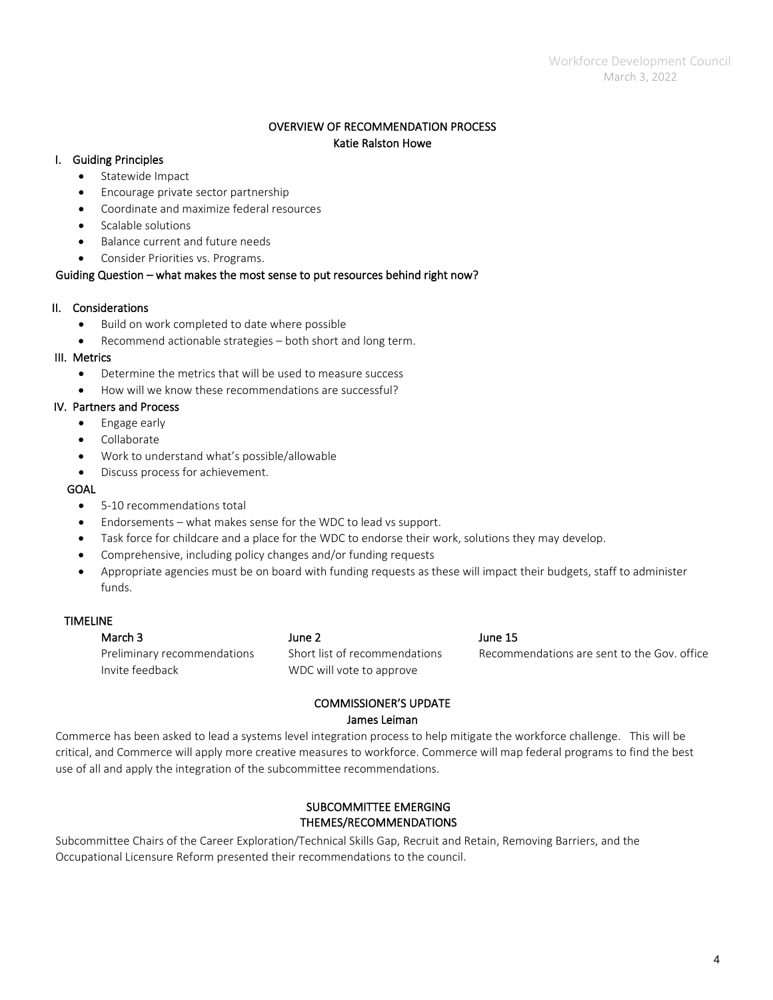### OVERVIEW OF RECOMMENDATION PROCESS Katie Ralston Howe

#### I. Guiding Principles

- Statewide Impact
- Encourage private sector partnership
- Coordinate and maximize federal resources
- Scalable solutions
- Balance current and future needs
- Consider Priorities vs. Programs.

### Guiding Question – what makes the most sense to put resources behind right now?

## II. Considerations

- Build on work completed to date where possible
- Recommend actionable strategies both short and long term.

### III. Metrics

- Determine the metrics that will be used to measure success
- How will we know these recommendations are successful?

### IV. Partners and Process

- Engage early
- Collaborate
- Work to understand what's possible/allowable
- Discuss process for achievement.

### GOAL

- 5-10 recommendations total
- Endorsements what makes sense for the WDC to lead vs support.
- Task force for childcare and a place for the WDC to endorse their work, solutions they may develop.
- Comprehensive, including policy changes and/or funding requests
- Appropriate agencies must be on board with funding requests as these will impact their budgets, staff to administer funds.

### TIMELINE

| March 3                     | June 2                        | June 15                                     |
|-----------------------------|-------------------------------|---------------------------------------------|
| Preliminary recommendations | Short list of recommendations | Recommendations are sent to the Gov. office |
| Invite feedback             | WDC will vote to approve      |                                             |
|                             |                               |                                             |

# COMMISSIONER'S UPDATE James Leiman

Commerce has been asked to lead a systems level integration process to help mitigate the workforce challenge. This will be critical, and Commerce will apply more creative measures to workforce. Commerce will map federal programs to find the best use of all and apply the integration of the subcommittee recommendations.

## SUBCOMMITTEE EMERGING THEMES/RECOMMENDATIONS

Subcommittee Chairs of the Career Exploration/Technical Skills Gap, Recruit and Retain, Removing Barriers, and the Occupational Licensure Reform presented their recommendations to the council.